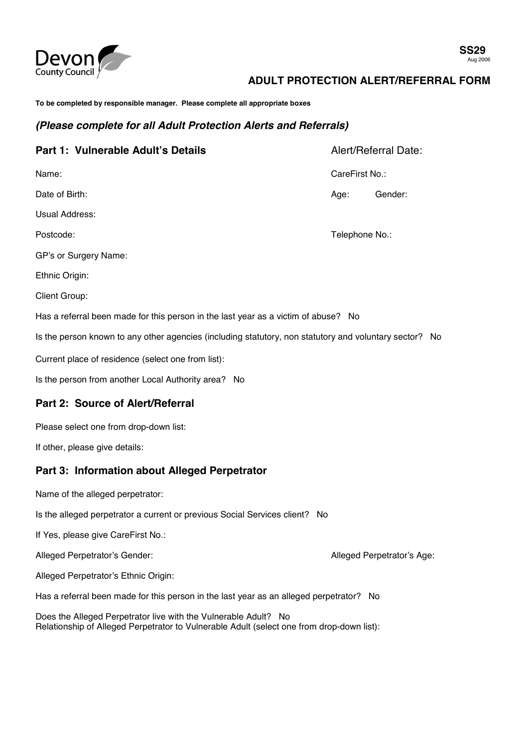

# **ADULT PROTECTION ALERT/REFERRAL FORM**

**To be completed by responsible manager. Please complete all appropriate boxes** 

#### *(Please complete for all Adult Protection Alerts and Referrals)*

| Part 1: Vulnerable Adult's Details                                                                     | Alert/Referral Date: |         |  |  |  |  |  |
|--------------------------------------------------------------------------------------------------------|----------------------|---------|--|--|--|--|--|
| Name:                                                                                                  | CareFirst No.:       |         |  |  |  |  |  |
| Date of Birth:                                                                                         | Age:                 | Gender: |  |  |  |  |  |
| Usual Address:                                                                                         |                      |         |  |  |  |  |  |
| Postcode:                                                                                              | Telephone No.:       |         |  |  |  |  |  |
| GP's or Surgery Name:                                                                                  |                      |         |  |  |  |  |  |
| Ethnic Origin:                                                                                         |                      |         |  |  |  |  |  |
| <b>Client Group:</b>                                                                                   |                      |         |  |  |  |  |  |
| Has a referral been made for this person in the last year as a victim of abuse? No                     |                      |         |  |  |  |  |  |
| Is the person known to any other agencies (including statutory, non statutory and voluntary sector? No |                      |         |  |  |  |  |  |
| Current place of residence (select one from list):                                                     |                      |         |  |  |  |  |  |
| Is the person from another Local Authority area? No                                                    |                      |         |  |  |  |  |  |
|                                                                                                        |                      |         |  |  |  |  |  |

### **Part 2: Source of Alert/Referral**

Please select one from drop-down list:

If other, please give details:

### **Part 3: Information about Alleged Perpetrator**

Name of the alleged perpetrator:

Is the alleged perpetrator a current or previous Social Services client? No

If Yes, please give CareFirst No.:

Alleged Perpetrator's Gender: Alleged Perpetrator's Age:

Alleged Perpetrator's Ethnic Origin:

Has a referral been made for this person in the last year as an alleged perpetrator? No

Does the Alleged Perpetrator live with the Vulnerable Adult? No Relationship of Alleged Perpetrator to Vulnerable Adult (select one from drop-down list):